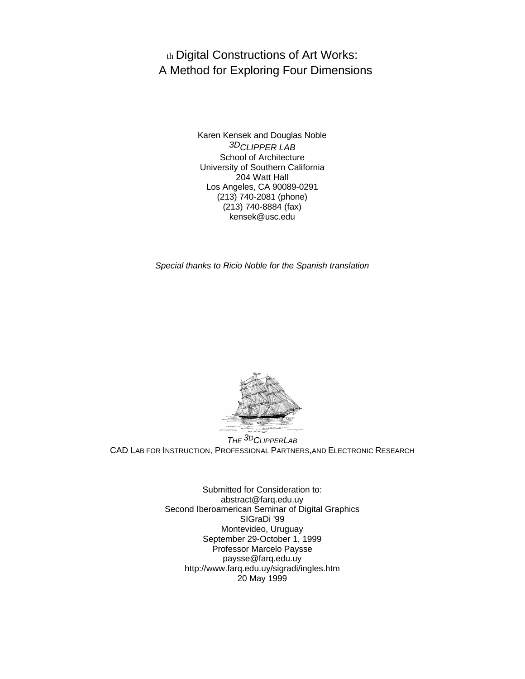th Digital Constructions of Art Works: A Method for Exploring Four Dimensions

> Karen Kensek and Douglas Noble *3DCLIPPER LAB* School of Architecture University of Southern California 204 Watt Hall Los Angeles, CA 90089-0291 (213) 740-2081 (phone) (213) 740-8884 (fax) kensek@usc.edu

*Special thanks to Ricio Noble for the Spanish translation*



*THE 3DCLIPPERLAB* CAD LAB FOR INSTRUCTION, PROFESSIONAL PARTNERS,AND ELECTRONIC RESEARCH

> Submitted for Consideration to: abstract@farq.edu.uy Second Iberoamerican Seminar of Digital Graphics SIGraDi '99 Montevideo, Uruguay September 29-October 1, 1999 Professor Marcelo Paysse paysse@farq.edu.uy http://www.farq.edu.uy/sigradi/ingles.htm 20 May 1999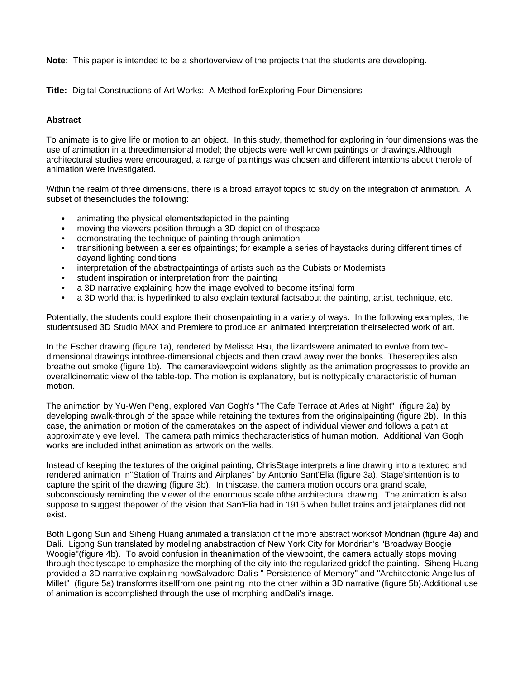**Note:** This paper is intended to be a shortoverview of the projects that the students are developing.

**Title:** Digital Constructions of Art Works: A Method forExploring Four Dimensions

## **Abstract**

To animate is to give life or motion to an object. In this study, themethod for exploring in four dimensions was the use of animation in a threedimensional model; the objects were well known paintings or drawings.Although architectural studies were encouraged, a range of paintings was chosen and different intentions about therole of animation were investigated.

Within the realm of three dimensions, there is a broad arrayof topics to study on the integration of animation. A subset of theseincludes the following:

- animating the physical elementsdepicted in the painting
- moving the viewers position through a 3D depiction of thespace
- demonstrating the technique of painting through animation
- transitioning between a series ofpaintings; for example a series of haystacks during different times of dayand lighting conditions
- interpretation of the abstractpaintings of artists such as the Cubists or Modernists
- student inspiration or interpretation from the painting
- a 3D narrative explaining how the image evolved to become itsfinal form
- a 3D world that is hyperlinked to also explain textural factsabout the painting, artist, technique, etc.

Potentially, the students could explore their chosenpainting in a variety of ways. In the following examples, the studentsused 3D Studio MAX and Premiere to produce an animated interpretation theirselected work of art.

In the Escher drawing (figure 1a), rendered by Melissa Hsu, the lizardswere animated to evolve from twodimensional drawings intothree-dimensional objects and then crawl away over the books. Thesereptiles also breathe out smoke (figure 1b). The cameraviewpoint widens slightly as the animation progresses to provide an overallcinematic view of the table-top. The motion is explanatory, but is nottypically characteristic of human motion.

The animation by Yu-Wen Peng, explored Van Gogh's "The Cafe Terrace at Arles at Night" (figure 2a) by developing awalk-through of the space while retaining the textures from the originalpainting (figure 2b). In this case, the animation or motion of the cameratakes on the aspect of individual viewer and follows a path at approximately eye level. The camera path mimics thecharacteristics of human motion. Additional Van Gogh works are included inthat animation as artwork on the walls.

Instead of keeping the textures of the original painting, ChrisStage interprets a line drawing into a textured and rendered animation in"Station of Trains and Airplanes" by Antonio Sant'Elia (figure 3a). Stage'sintention is to capture the spirit of the drawing (figure 3b). In thiscase, the camera motion occurs ona grand scale, subconsciously reminding the viewer of the enormous scale ofthe architectural drawing. The animation is also suppose to suggest thepower of the vision that San'Elia had in 1915 when bullet trains and jetairplanes did not exist.

Both Ligong Sun and Siheng Huang animated a translation of the more abstract worksof Mondrian (figure 4a) and Dali. Ligong Sun translated by modeling anabstraction of New York City for Mondrian's "Broadway Boogie Woogie"(figure 4b). To avoid confusion in theanimation of the viewpoint, the camera actually stops moving through thecityscape to emphasize the morphing of the city into the regularized gridof the painting. Siheng Huang provided a 3D narrative explaining howSalvadore Dali's " Persistence of Memory" and "Architectonic Angellus of Millet" (figure 5a) transforms itselffrom one painting into the other within a 3D narrative (figure 5b).Additional use of animation is accomplished through the use of morphing andDali's image.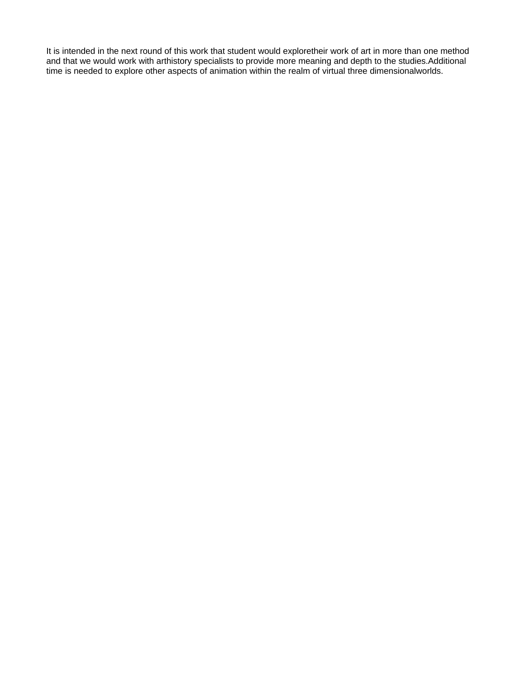It is intended in the next round of this work that student would exploretheir work of art in more than one method and that we would work with arthistory specialists to provide more meaning and depth to the studies.Additional time is needed to explore other aspects of animation within the realm of virtual three dimensionalworlds.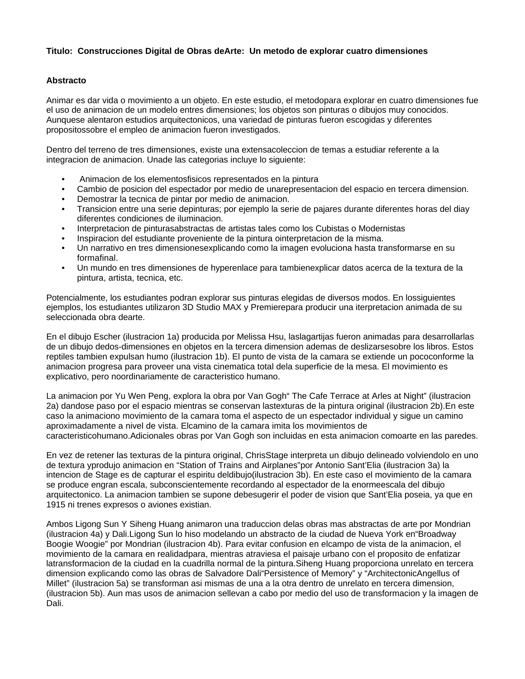## **Titulo: Construcciones Digital de Obras deArte: Un metodo de explorar cuatro dimensiones**

## **Abstracto**

Animar es dar vida o movimiento a un objeto. En este estudio, el metodopara explorar en cuatro dimensiones fue el uso de animacion de un modelo entres dimensiones; los objetos son pinturas o dibujos muy conocidos. Aunquese alentaron estudios arquitectonicos, una variedad de pinturas fueron escogidas y diferentes propositossobre el empleo de animacion fueron investigados.

Dentro del terreno de tres dimensiones, existe una extensacoleccion de temas a estudiar referente a la integracion de animacion. Unade las categorias incluye lo siguiente:

- Animacion de los elementosfisicos representados en la pintura
- Cambio de posicion del espectador por medio de unarepresentacion del espacio en tercera dimension.
- Demostrar la tecnica de pintar por medio de animacion.
- Transicion entre una serie depinturas; por ejemplo la serie de pajares durante diferentes horas del diay diferentes condiciones de iluminacion.
- Interpretacion de pinturasabstractas de artistas tales como los Cubistas o Modernistas
- Inspiracion del estudiante proveniente de la pintura ointerpretacion de la misma.
- Un narrativo en tres dimensionesexplicando como la imagen evoluciona hasta transformarse en su formafinal.
- Un mundo en tres dimensiones de hyperenlace para tambienexplicar datos acerca de la textura de la pintura, artista, tecnica, etc.

Potencialmente, los estudiantes podran explorar sus pinturas elegidas de diversos modos. En lossiguientes ejemplos, los estudiantes utilizaron 3D Studio MAX y Premierepara producir una iterpretacion animada de su seleccionada obra dearte.

En el dibujo Escher (ilustracion 1a) producida por Melissa Hsu, laslagartijas fueron animadas para desarrollarlas de un dibujo dedos-dimensiones en objetos en la tercera dimension ademas de deslizarsesobre los libros. Estos reptiles tambien expulsan humo (ilustracion 1b). El punto de vista de la camara se extiende un pococonforme la animacion progresa para proveer una vista cinematica total dela superficie de la mesa. El movimiento es explicativo, pero noordinariamente de caracteristico humano.

La animacion por Yu Wen Peng, explora la obra por Van Gogh" The Cafe Terrace at Arles at Night" (ilustracion 2a) dandose paso por el espacio mientras se conservan lastexturas de la pintura original (ilustracion 2b).En este caso la animaciono movimiento de la camara toma el aspecto de un espectador individual y sigue un camino aproximadamente a nivel de vista. Elcamino de la camara imita los movimientos de caracteristicohumano.Adicionales obras por Van Gogh son incluidas en esta animacion comoarte en las paredes.

En vez de retener las texturas de la pintura original, ChrisStage interpreta un dibujo delineado volviendolo en uno de textura yprodujo animacion en "Station of Trains and Airplanes"por Antonio Sant'Elia (ilustracion 3a) la intencion de Stage es de capturar el espiritu deldibujo(ilustracion 3b). En este caso el movimiento de la camara se produce engran escala, subconscientemente recordando al espectador de la enormeescala del dibujo arquitectonico. La animacion tambien se supone debesugerir el poder de vision que Sant'Elia poseia, ya que en 1915 ni trenes expresos o aviones existian.

Ambos Ligong Sun Y Siheng Huang animaron una traduccion delas obras mas abstractas de arte por Mondrian (ilustracion 4a) y Dali.Ligong Sun lo hiso modelando un abstracto de la ciudad de Nueva York en"Broadway Boogie Woogie" por Mondrian (ilustracion 4b). Para evitar confusion en elcampo de vista de la animacion, el movimiento de la camara en realidadpara, mientras atraviesa el paisaje urbano con el proposito de enfatizar latransformacion de la ciudad en la cuadrilla normal de la pintura.Siheng Huang proporciona unrelato en tercera dimension explicando como las obras de Salvadore Dali"Persistence of Memory" y "ArchitectonicAngellus of Millet" (ilustracion 5a) se transforman asi mismas de una a la otra dentro de unrelato en tercera dimension, (ilustracion 5b). Aun mas usos de animacion sellevan a cabo por medio del uso de transformacion y la imagen de Dali.